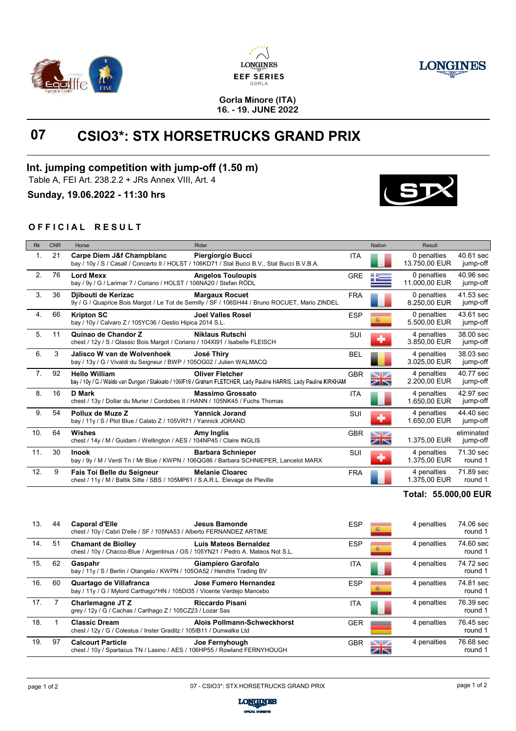





#### **Gorla Minore (ITA) 16. - 19. JUNE 2022**

# **07 CSIO3\*: STX HORSETRUCKS GRAND PRIX**

## **Int. jumping competition with jump-off (1.50 m)**

Table A, FEI Art. 238.2.2 + JRs Annex VIII, Art. 4

**Sunday, 19.06.2022 - 11:30 hrs**

### **OFFICIAL RESULT**

| <b>Rk</b> | <b>CNR</b> | Horse                                                                                                       | Rider                                                                                                                                        |            | <b>Nation</b>              | Result                       |                        |
|-----------|------------|-------------------------------------------------------------------------------------------------------------|----------------------------------------------------------------------------------------------------------------------------------------------|------------|----------------------------|------------------------------|------------------------|
| 1.        | 21         | Carpe Diem J&f Champblanc                                                                                   | Piergiorgio Bucci<br>bay / 10y / S / Casall / Concerto II / HOLST / 106KD71 / Stal Bucci B.V., Stal Bucci B.V.B.A.                           | <b>ITA</b> |                            | 0 penalties<br>13.750.00 EUR | 40.61 sec<br>jump-off  |
| 2.        | 76         | <b>Lord Mexx</b><br>bay / 9y / G / Larimar 7 / Coriano / HOLST / 106NA20 / Stefan RÖDL                      | <b>Angelos Touloupis</b>                                                                                                                     | <b>GRE</b> |                            | 0 penalties<br>11.000,00 EUR | 40.96 sec<br>jump-off  |
| 3.        | 36         | Diibouti de Kerizac                                                                                         | <b>Margaux Rocuet</b><br>9y / G / Quaprice Bois Margot / Le Tot de Semilly / SF / 106SH44 / Bruno ROCUET, Mario ZINDEL                       | <b>FRA</b> |                            | 0 penalties<br>8.250,00 EUR  | 41.53 sec<br>jump-off  |
| 4.        | 66         | <b>Kripton SC</b><br>bay / 10y / Calvaro Z / 105YC36 / Gestio Hipica 2014 S.L.                              | <b>Joel Valles Rosel</b>                                                                                                                     | <b>ESP</b> |                            | 0 penalties<br>5.500.00 EUR  | 43.61 sec<br>jump-off  |
| 5.        | 11         | Quinao de Chandor Z<br>chest / 12y / S / Qlassic Bois Margot / Coriano / 104XI91 / Isabelle FLEISCH         | <b>Niklaus Rutschi</b>                                                                                                                       | SUI        | $\blacklozenge$            | 4 penalties<br>3.850,00 EUR  | 38.00 sec<br>jump-off  |
| 6.        | 3          | Jalisco W van de Wolvenhoek<br>bay / 13y / G / Vivaldi du Seigneur / BWP / 105OG02 / Julien WALMACQ         | José Thiry                                                                                                                                   | <b>BEL</b> |                            | 4 penalties<br>3.025,00 EUR  | 38.03 sec<br>jump-off  |
| 7.        | 92         | <b>Hello William</b>                                                                                        | <b>Oliver Fletcher</b><br>bay / 10y / G / Waldo van Dungen / Stakkato / 106IF18 / Graham FLETCHER, Lady Pauline HARRIS, Lady Pauline KIRKHAM | <b>GBR</b> | $\blacktriangledown$<br>ZN | 4 penalties<br>2.200,00 EUR  | 40.77 sec<br>jump-off  |
| 8.        | 16         | <b>D</b> Mark<br>chest / 13y / Dollar du Murier / Cordobes II / HANN / 105NK45 / Fuchs Thomas               | <b>Massimo Grossato</b>                                                                                                                      | <b>ITA</b> |                            | 4 penalties<br>1.650.00 EUR  | 42.97 sec<br>jump-off  |
| 9.        | 54         | Pollux de Muze Z<br>bay / 11y / S / Plot Blue / Calato Z / 105VR71 / Yannick JORAND                         | <b>Yannick Jorand</b>                                                                                                                        | SUI        | ÷                          | 4 penalties<br>1.650.00 EUR  | 44.40 sec<br>jump-off  |
| 10.       | 64         | Wishes<br>chest / 14y / M / Guidam / Wellington / AES / 104NP45 / Claire INGLIS                             | Amy Inglis                                                                                                                                   | <b>GBR</b> | NZ<br>ZN                   | 1.375,00 EUR                 | eliminated<br>jump-off |
| 11.       | 30         | <b>Inook</b>                                                                                                | <b>Barbara Schnieper</b><br>bay / 9y / M / Verdi Tn / Mr Blue / KWPN / 106QG86 / Barbara SCHNIEPER, Lancelot MARX                            | SUI        | ÷                          | 4 penalties<br>1.375,00 EUR  | 71.30 sec<br>round 1   |
| 12.       | 9          | Fais Toi Belle du Seigneur<br>chest / 11y / M / Baltik Sitte / SBS / 105MP61 / S.A.R.L. Elevage de Pleville | <b>Melanie Cloarec</b>                                                                                                                       | <b>FRA</b> |                            | 4 penalties<br>1.375,00 EUR  | 71.89 sec<br>round 1   |

## Total: 55.000,00 EUR

| 13.             | 44 | <b>Caporal d'Elle</b><br>chest / 10y / Cabri D'elle / SF / 105NA53 / Alberto FERNANDEZ ARTIME                 | Jesus Bamonde                | <b>ESP</b> | 靏              | 4 penalties | 74.06 sec<br>round 1 |
|-----------------|----|---------------------------------------------------------------------------------------------------------------|------------------------------|------------|----------------|-------------|----------------------|
| 14.             | 51 | <b>Chamant de Biolley</b><br>chest / 10y / Chacco-Blue / Argentinus / OS / 105YN21 / Pedro A. Mateos Not S.L. | <b>Luis Mateos Bernaldez</b> | <b>ESP</b> | 靏              | 4 penalties | 74.60 sec<br>round 1 |
| 15.             | 62 | Gaspahr<br>bay / 11y / S / Berlin / Otangelo / KWPN / 105OA52 / Hendrix Trading BV                            | Giampiero Garofalo           | ITA        |                | 4 penalties | 74.72 sec<br>round 1 |
| 16.             | 60 | Quartago de Villafranca<br>bay / 11y / G / Mylord Carthago*HN / 105DI35 / Vicente Verdejo Mancebo             | Jose Fumero Hernandez        | <b>ESP</b> | 靏              | 4 penalties | 74.81 sec<br>round 1 |
| 17 <sub>1</sub> |    | Charlemagne JT Z<br>grey / 12y / G / Cachas / Carthago Z / 105CZ23 / Lozar Sas                                | <b>Riccardo Pisani</b>       | ITA        |                | 4 penalties | 76.39 sec<br>round 1 |
| 18.             |    | <b>Classic Dream</b><br>chest / 12y / G / Colestus / Inster Graditz / 105IB11 / Dunwalke Ltd                  | Alois Pollmann-Schweckhorst  | <b>GER</b> |                | 4 penalties | 76.45 sec<br>round 1 |
| 19.             | 97 | <b>Calcourt Particle</b><br>chest / 10y / Spartacus TN / Lasino / AES / 106HP55 / Rowland FERNYHOUGH          | Joe Fernyhough               | <b>GBR</b> | $\mathbb{N}$ i | 4 penalties | 76.68 sec<br>round 1 |